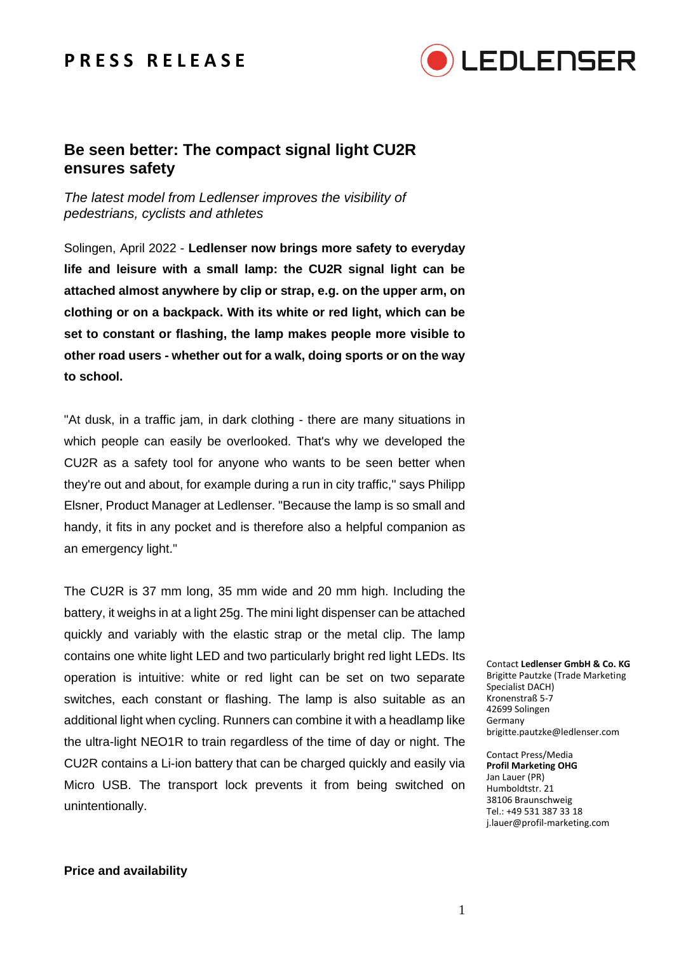## **P R E S S R E L E A S E**



### **Be seen better: The compact signal light CU2R ensures safety**

*The latest model from Ledlenser improves the visibility of pedestrians, cyclists and athletes*

Solingen, April 2022 - **Ledlenser now brings more safety to everyday life and leisure with a small lamp: the CU2R signal light can be attached almost anywhere by clip or strap, e.g. on the upper arm, on clothing or on a backpack. With its white or red light, which can be set to constant or flashing, the lamp makes people more visible to other road users - whether out for a walk, doing sports or on the way to school.** 

"At dusk, in a traffic jam, in dark clothing - there are many situations in which people can easily be overlooked. That's why we developed the CU2R as a safety tool for anyone who wants to be seen better when they're out and about, for example during a run in city traffic," says Philipp Elsner, Product Manager at Ledlenser. "Because the lamp is so small and handy, it fits in any pocket and is therefore also a helpful companion as an emergency light."

The CU2R is 37 mm long, 35 mm wide and 20 mm high. Including the battery, it weighs in at a light 25g. The mini light dispenser can be attached quickly and variably with the elastic strap or the metal clip. The lamp contains one white light LED and two particularly bright red light LEDs. Its operation is intuitive: white or red light can be set on two separate switches, each constant or flashing. The lamp is also suitable as an additional light when cycling. Runners can combine it with a headlamp like the ultra-light NEO1R to train regardless of the time of day or night. The CU2R contains a Li-ion battery that can be charged quickly and easily via Micro USB. The transport lock prevents it from being switched on unintentionally.

Contact **Ledlenser GmbH & Co. KG** Brigitte Pautzke (Trade Marketing Specialist DACH) Kronenstraß 5-7 42699 Solingen Germany brigitte.pautzke@ledlenser.com

Contact Press/Media **Profil Marketing OHG** Jan Lauer (PR) Humboldtstr. 21 38106 Braunschweig Tel.: +49 531 387 33 18 j.lauer@profil-marketing.com

#### **Price and availability**